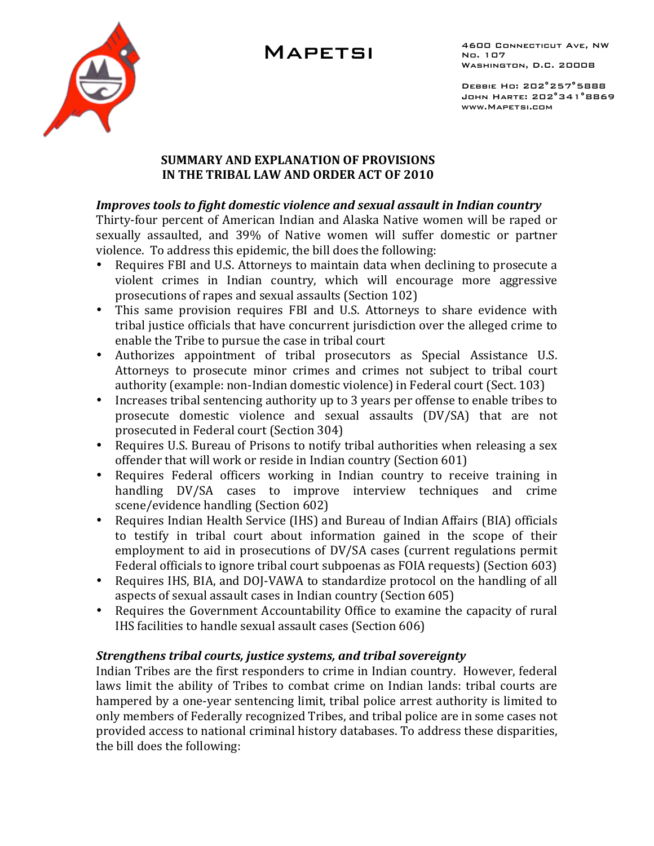# **MAPETSI**



4600 CONNECTICUT AVE, NW No. 107 WASHINGTON, D.C. 20008

DEBBIE HO: 202°257°5888 JOHN HARTE: 202°341°8869 WWW.MAPETSI.COM

#### **SUMMARY AND EXPLANATION OF PROVISIONS** IN THE TRIBAL LAW AND ORDER ACT OF 2010

#### Improves tools to fight domestic violence and sexual assault in Indian country

Thirty-four percent of American Indian and Alaska Native women will be raped or sexually assaulted, and 39% of Native women will suffer domestic or partner violence. To address this epidemic, the bill does the following:

- Requires FBI and U.S. Attorneys to maintain data when declining to prosecute a  $\bullet$ violent crimes in Indian country, which will encourage more aggressive prosecutions of rapes and sexual assaults (Section 102)
- This same provision requires FBI and U.S. Attorneys to share evidence with tribal justice officials that have concurrent jurisdiction over the alleged crime to enable the Tribe to pursue the case in tribal court
- Authorizes appointment of tribal prosecutors as Special Assistance U.S. Attorneys to prosecute minor crimes and crimes not subject to tribal court authority (example: non-Indian domestic violence) in Federal court (Sect. 103)
- Increases tribal sentencing authority up to 3 years per offense to enable tribes to prosecute domestic violence and sexual assaults (DV/SA) that are not prosecuted in Federal court (Section 304)
- Requires U.S. Bureau of Prisons to notify tribal authorities when releasing a sex offender that will work or reside in Indian country (Section 601)
- Requires Federal officers working in Indian country to receive training in handling DV/SA cases to improve interview techniques and crime scene/evidence handling (Section 602)
- Requires Indian Health Service (IHS) and Bureau of Indian Affairs (BIA) officials to testify in tribal court about information gained in the scope of their employment to aid in prosecutions of DV/SA cases (current regulations permit Federal officials to ignore tribal court subpoenas as FOIA requests) (Section 603)
- Requires IHS, BIA, and DOJ-VAWA to standardize protocol on the handling of all aspects of sexual assault cases in Indian country (Section 605)
- Requires the Government Accountability Office to examine the capacity of rural IHS facilities to handle sexual assault cases (Section 606)

### Strengthens tribal courts, justice systems, and tribal sovereignty

Indian Tribes are the first responders to crime in Indian country. However, federal laws limit the ability of Tribes to combat crime on Indian lands: tribal courts are hampered by a one-year sentencing limit, tribal police arrest authority is limited to only members of Federally recognized Tribes, and tribal police are in some cases not provided access to national criminal history databases. To address these disparities, the bill does the following: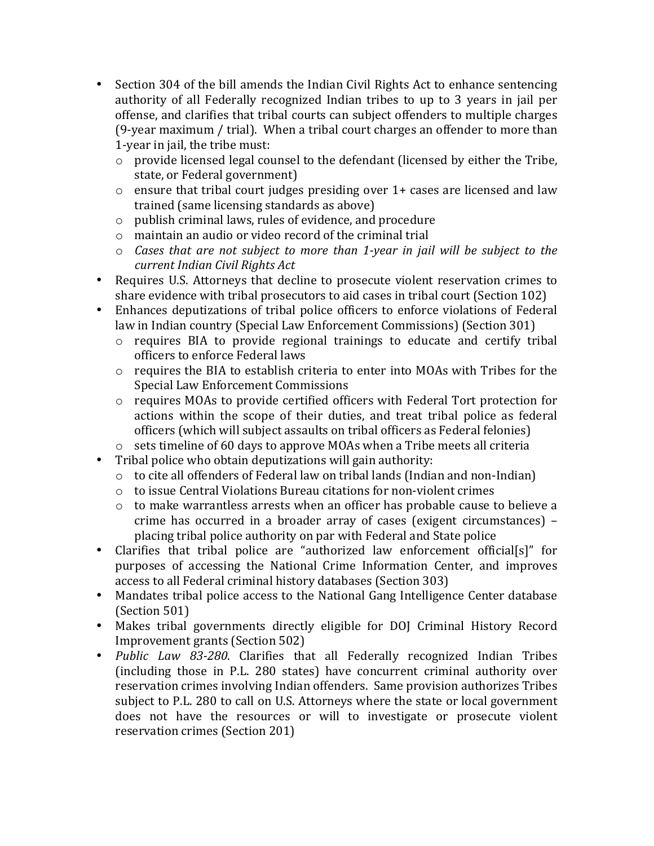- Section 304 of the bill amends the Indian Civil Rights Act to enhance sentencing authority of all Federally recognized Indian tribes to up to 3 years in jail per offense, and clarifies that tribal courts can subject offenders to multiple charges (9-year maximum / trial). When a tribal court charges an offender to more than 1-year in jail, the tribe must:
	- o provide licensed legal counsel to the defendant (licensed by either the Tribe, state, or Federal government)
	- $\circ$  ensure that tribal court judges presiding over 1+ cases are licensed and law trained (same licensing standards as above)
	- $\circ$  publish criminal laws, rules of evidence, and procedure
	- o maintain an audio or video record of the criminal trial
	- $\circ$  Cases that are not subject to more than 1-year in jail will be subject to the current Indian Civil Rights Act
- Requires U.S. Attorneys that decline to prosecute violent reservation crimes to share evidence with tribal prosecutors to aid cases in tribal court (Section 102)
- Enhances deputizations of tribal police officers to enforce violations of Federal law in Indian country (Special Law Enforcement Commissions) (Section 301)
	- o requires BIA to provide regional trainings to educate and certify tribal officers to enforce Federal laws
	- o requires the BIA to establish criteria to enter into MOAs with Tribes for the **Special Law Enforcement Commissions**
	- o requires MOAs to provide certified officers with Federal Tort protection for actions within the scope of their duties, and treat tribal police as federal officers (which will subject assaults on tribal officers as Federal felonies)
	- $\circ$  sets timeline of 60 days to approve MOAs when a Tribe meets all criteria
- Tribal police who obtain deputizations will gain authority:
	- o to cite all offenders of Federal law on tribal lands (Indian and non-Indian)
	- to issue Central Violations Bureau citations for non-violent crimes
	- o to make warrantless arrests when an officer has probable cause to believe a crime has occurred in a broader array of cases (exigent circumstances) – placing tribal police authority on par with Federal and State police
- Clarifies that tribal police are "authorized law enforcement official[s]" for purposes of accessing the National Crime Information Center, and improves access to all Federal criminal history databases (Section 303)
- Mandates tribal police access to the National Gang Intelligence Center database (Section 501)
- Makes tribal governments directly eligible for DOJ Criminal History Record Improvement grants (Section 502)
- Public Law 83-280. Clarifies that all Federally recognized Indian Tribes (including those in P.L. 280 states) have concurrent criminal authority over reservation crimes involving Indian offenders. Same provision authorizes Tribes subject to P.L. 280 to call on U.S. Attorneys where the state or local government does not have the resources or will to investigate or prosecute violent reservation crimes (Section 201)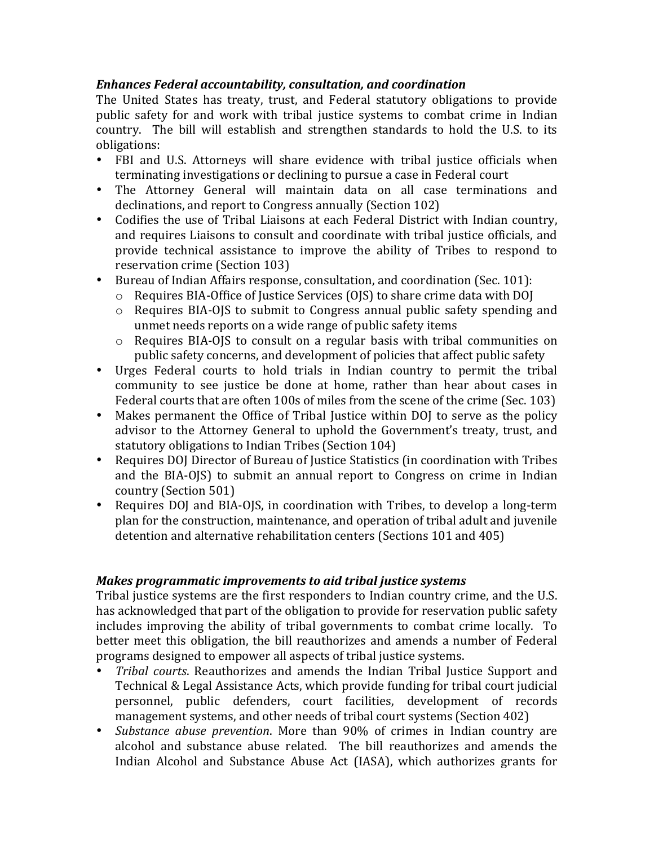## **Enhances Federal accountability, consultation, and coordination**

The United States has treaty, trust, and Federal statutory obligations to provide public safety for and work with tribal justice systems to combat crime in Indian country. The bill will establish and strengthen standards to hold the U.S. to its obligations:

- FBI and U.S. Attorneys will share evidence with tribal justice officials when terminating investigations or declining to pursue a case in Federal court
- The Attorney General will maintain data on all case terminations and declinations, and report to Congress annually (Section 102)
- Codifies the use of Tribal Liaisons at each Federal District with Indian country, and requires Liaisons to consult and coordinate with tribal justice officials, and provide technical assistance to improve the ability of Tribes to respond to reservation crime (Section 103)
- Bureau of Indian Affairs response, consultation, and coordination (Sec. 101):
	- o Requires BIA-Office of Justice Services (OJS) to share crime data with DOJ
	- o Requires BIA-OJS to submit to Congress annual public safety spending and unmet needs reports on a wide range of public safety items
	- o Requires BIA-OJS to consult on a regular basis with tribal communities on public safety concerns, and development of policies that affect public safety
- Urges Federal courts to hold trials in Indian country to permit the tribal community to see justice be done at home, rather than hear about cases in Federal courts that are often 100s of miles from the scene of the crime (Sec. 103)
- Makes permanent the Office of Tribal Justice within DOJ to serve as the policy advisor to the Attorney General to uphold the Government's treaty, trust, and statutory obligations to Indian Tribes (Section 104)
- Requires DOJ Director of Bureau of Justice Statistics (in coordination with Tribes  $\bullet$ and the BIA-OJS) to submit an annual report to Congress on crime in Indian country (Section 501)
- Requires DOJ and BIA-OJS, in coordination with Tribes, to develop a long-term plan for the construction, maintenance, and operation of tribal adult and juvenile detention and alternative rehabilitation centers (Sections 101 and 405)

### Makes programmatic improvements to aid tribal justice systems

Tribal justice systems are the first responders to Indian country crime, and the U.S. has acknowledged that part of the obligation to provide for reservation public safety includes improving the ability of tribal governments to combat crime locally. To better meet this obligation, the bill reauthorizes and amends a number of Federal programs designed to empower all aspects of tribal justice systems.

- Tribal courts. Reauthorizes and amends the Indian Tribal Justice Support and Technical & Legal Assistance Acts, which provide funding for tribal court judicial personnel, public defenders, court facilities, development of records management systems, and other needs of tribal court systems (Section 402)
- Substance abuse prevention. More than 90% of crimes in Indian country are alcohol and substance abuse related. The bill reauthorizes and amends the Indian Alcohol and Substance Abuse Act (IASA), which authorizes grants for